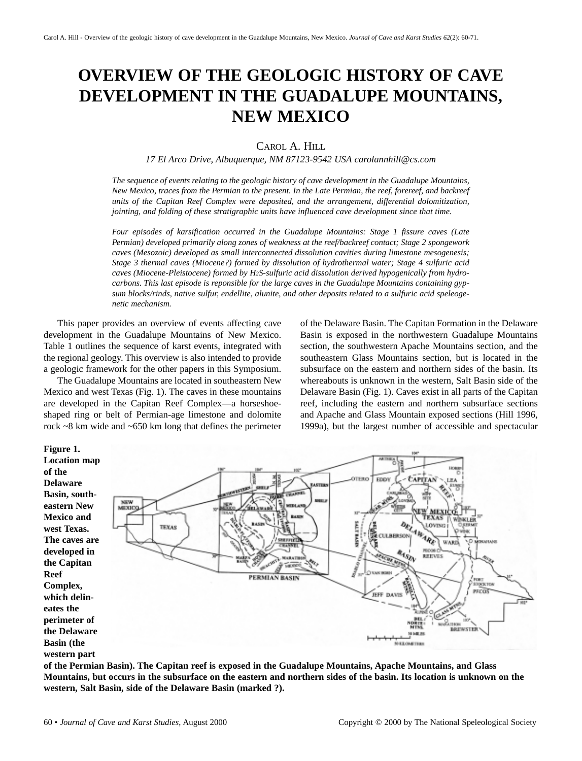# **OVERVIEW OF THE GEOLOGIC HISTORY OF CAVE DEVELOPMENT IN THE GUADALUPE MOUNTAINS, NEW MEXICO**

CAROL A. HILL

*17 El Arco Drive, Albuquerque, NM 87123-9542 USA carolannhill@cs.com*

*The sequence of events relating to the geologic history of cave development in the Guadalupe Mountains, New Mexico, traces from the Permian to the present. In the Late Permian, the reef, forereef, and backreef units of the Capitan Reef Complex were deposited, and the arrangement, differential dolomitization, jointing, and folding of these stratigraphic units have influenced cave development since that time.*

*Four episodes of karsification occurred in the Guadalupe Mountains: Stage 1 fissure caves (Late Permian) developed primarily along zones of weakness at the reef/backreef contact; Stage 2 spongework caves (Mesozoic) developed as small interconnected dissolution cavities during limestone mesogenesis; Stage 3 thermal caves (Miocene?) formed by dissolution of hydrothermal water; Stage 4 sulfuric acid caves (Miocene-Pleistocene) formed by H2S-sulfuric acid dissolution derived hypogenically from hydrocarbons. This last episode is reponsible for the large caves in the Guadalupe Mountains containing gypsum blocks/rinds, native sulfur, endellite, alunite, and other deposits related to a sulfuric acid speleogenetic mechanism.* 

This paper provides an overview of events affecting cave development in the Guadalupe Mountains of New Mexico. Table 1 outlines the sequence of karst events, integrated with the regional geology. This overview is also intended to provide a geologic framework for the other papers in this Symposium.

The Guadalupe Mountains are located in southeastern New Mexico and west Texas (Fig. 1). The caves in these mountains are developed in the Capitan Reef Complex—a horseshoeshaped ring or belt of Permian-age limestone and dolomite rock ~8 km wide and ~650 km long that defines the perimeter of the Delaware Basin. The Capitan Formation in the Delaware Basin is exposed in the northwestern Guadalupe Mountains section, the southwestern Apache Mountains section, and the southeastern Glass Mountains section, but is located in the subsurface on the eastern and northern sides of the basin. Its whereabouts is unknown in the western, Salt Basin side of the Delaware Basin (Fig. 1). Caves exist in all parts of the Capitan reef, including the eastern and northern subsurface sections and Apache and Glass Mountain exposed sections (Hill 1996, 1999a), but the largest number of accessible and spectacular



**of the Permian Basin). The Capitan reef is exposed in the Guadalupe Mountains, Apache Mountains, and Glass Mountains, but occurs in the subsurface on the eastern and northern sides of the basin. Its location is unknown on the western, Salt Basin, side of the Delaware Basin (marked ?).**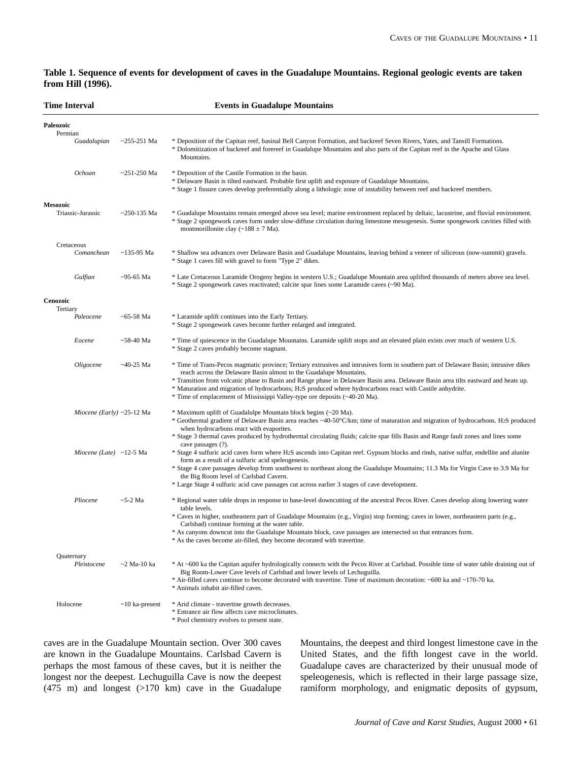# **Table 1. Sequence of events for development of caves in the Guadalupe Mountains. Regional geologic events are taken from Hill (1996).**

| <b>Time Interval</b>             |                   | <b>Events in Guadalupe Mountains</b>                                                                                                                                                                                                                                                                                                                                                                                                                                                                                                        |
|----------------------------------|-------------------|---------------------------------------------------------------------------------------------------------------------------------------------------------------------------------------------------------------------------------------------------------------------------------------------------------------------------------------------------------------------------------------------------------------------------------------------------------------------------------------------------------------------------------------------|
| Paleozoic<br>Permian             |                   |                                                                                                                                                                                                                                                                                                                                                                                                                                                                                                                                             |
| Guadalupian                      | $\sim$ 255-251 Ma | * Deposition of the Capitan reef, basinal Bell Canyon Formation, and backreef Seven Rivers, Yates, and Tansill Formations.<br>* Dolomitization of backreef and forereef in Guadalupe Mountains and also parts of the Capitan reef in the Apache and Glass<br>Mountains.                                                                                                                                                                                                                                                                     |
| Ochoan                           | $~251-250$ Ma     | * Deposition of the Castile Formation in the basin.<br>* Delaware Basin is tilted eastward. Probable first uplift and exposure of Guadalupe Mountains.<br>* Stage 1 fissure caves develop preferentially along a lithologic zone of instability between reef and backreef members.                                                                                                                                                                                                                                                          |
| <b>Mesozoic</b>                  |                   |                                                                                                                                                                                                                                                                                                                                                                                                                                                                                                                                             |
| Triassic-Jurassic                | $~250 - 135$ Ma   | * Guadalupe Mountains remain emerged above sea level; marine environment replaced by deltaic, lacustrine, and fluvial environment.<br>* Stage 2 spongework caves form under slow-diffuse circulation during limestone mesogenesis. Some spongework cavities filled with<br>montmorillonite clay ( $\sim$ 188 ± 7 Ma).                                                                                                                                                                                                                       |
| Cretaceous                       |                   |                                                                                                                                                                                                                                                                                                                                                                                                                                                                                                                                             |
| Comanchean                       | $~135-95$ Ma      | * Shallow sea advances over Delaware Basin and Guadalupe Mountains, leaving behind a veneer of siliceous (now-summit) gravels.<br>* Stage 1 caves fill with gravel to form "Type 2" dikes.                                                                                                                                                                                                                                                                                                                                                  |
| Gulfian                          | $\sim$ 95-65 Ma   | * Late Cretaceous Laramide Orogeny begins in western U.S.; Guadalupe Mountain area uplifted thousands of meters above sea level.<br>* Stage 2 spongework caves reactivated; calcite spar lines some Laramide caves (~90 Ma).                                                                                                                                                                                                                                                                                                                |
| Cenozoic                         |                   |                                                                                                                                                                                                                                                                                                                                                                                                                                                                                                                                             |
| Tertiary<br>Paleocene            | $~5-58$ Ma        | * Laramide uplift continues into the Early Tertiary.<br>* Stage 2 spongework caves become further enlarged and integrated.                                                                                                                                                                                                                                                                                                                                                                                                                  |
| Eocene                           | $~58-40$ Ma       | * Time of quiescence in the Guadalupe Mountains. Laramide uplift stops and an elevated plain exists over much of western U.S.<br>* Stage 2 caves probably become stagnant.                                                                                                                                                                                                                                                                                                                                                                  |
| Oligocene                        | $~140-25$ Ma      | * Time of Trans-Pecos magmatic province; Tertiary extrusives and intrusives form in southern part of Delaware Basin; intrusive dikes<br>reach across the Delaware Basin almost to the Guadalupe Mountains.<br>* Transition from volcanic phase to Basin and Range phase in Delaware Basin area. Delaware Basin area tilts eastward and heats up.<br>* Maturation and migration of hydrocarbons; H2S produced where hydrocarbons react with Castile anhydrite.<br>* Time of emplacement of Mississippi Valley-type ore deposits (~40-20 Ma). |
| <i>Miocene (Early)</i> ~25-12 Ma |                   | * Maximum uplift of Guadalulpe Mountain block begins (~20 Ma).                                                                                                                                                                                                                                                                                                                                                                                                                                                                              |
|                                  |                   | * Geothermal gradient of Delaware Basin area reaches ~40-50°C/km; time of maturation and migration of hydrocarbons. H2S produced<br>when hydrocarbons react with evaporites.                                                                                                                                                                                                                                                                                                                                                                |
|                                  |                   | * Stage 3 thermal caves produced by hydrothermal circulating fluids; calcite spar fills Basin and Range fault zones and lines some<br>cave passages (?).                                                                                                                                                                                                                                                                                                                                                                                    |
| Miocene (Late) ~12-5 Ma          |                   | * Stage 4 sulfuric acid caves form where H2S ascends into Capitan reef. Gypsum blocks and rinds, native sulfur, endellite and alunite<br>form as a result of a sulfuric acid speleogenesis.                                                                                                                                                                                                                                                                                                                                                 |
|                                  |                   | * Stage 4 cave passages develop from southwest to northeast along the Guadalupe Mountains; 11.3 Ma for Virgin Cave to 3.9 Ma for<br>the Big Room level of Carlsbad Cavern.                                                                                                                                                                                                                                                                                                                                                                  |
|                                  |                   | * Large Stage 4 sulfuric acid cave passages cut across earlier 3 stages of cave development.                                                                                                                                                                                                                                                                                                                                                                                                                                                |
| Pliocene                         | $\sim$ 5-2 Ma     | * Regional water table drops in response to base-level downcutting of the ancestral Pecos River. Caves develop along lowering water<br>table levels.<br>* Caves in higher, southeastern part of Guadalupe Mountains (e.g., Virgin) stop forming; caves in lower, northeastern parts (e.g.,<br>Carlsbad) continue forming at the water table.<br>* As canyons downcut into the Guadalupe Mountain block, cave passages are intersected so that entrances form.<br>* As the caves become air-filled, they become decorated with travertine.   |
|                                  |                   |                                                                                                                                                                                                                                                                                                                                                                                                                                                                                                                                             |
| Quaternary<br>Pleistocene        | $\sim$ 2 Ma-10 ka | * At ~600 ka the Capitan aquifer hydrologically connects with the Pecos River at Carlsbad. Possible time of water table draining out of<br>Big Room-Lower Cave levels of Carlsbad and lower levels of Lechuguilla.<br>* Air-filled caves continue to become decorated with travertine. Time of maximum decoration: ~600 ka and ~170-70 ka.<br>* Animals inhabit air-filled caves.                                                                                                                                                           |
| Holocene                         | $~10$ ka-present  | * Arid climate - travertine growth decreases.<br>* Entrance air flow affects cave microclimates.<br>* Pool chemistry evolves to present state.                                                                                                                                                                                                                                                                                                                                                                                              |

caves are in the Guadalupe Mountain section. Over 300 caves are known in the Guadalupe Mountains. Carlsbad Cavern is perhaps the most famous of these caves, but it is neither the longest nor the deepest. Lechuguilla Cave is now the deepest  $(475 \text{ m})$  and longest  $(>170 \text{ km})$  cave in the Guadalupe

Mountains, the deepest and third longest limestone cave in the United States, and the fifth longest cave in the world. Guadalupe caves are characterized by their unusual mode of speleogenesis, which is reflected in their large passage size, ramiform morphology, and enigmatic deposits of gypsum,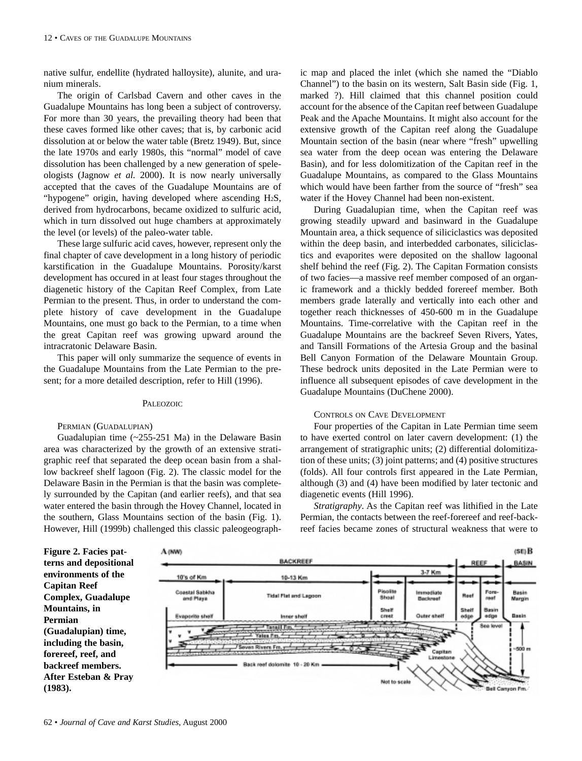native sulfur, endellite (hydrated halloysite), alunite, and uranium minerals.

The origin of Carlsbad Cavern and other caves in the Guadalupe Mountains has long been a subject of controversy. For more than 30 years, the prevailing theory had been that these caves formed like other caves; that is, by carbonic acid dissolution at or below the water table (Bretz 1949). But, since the late 1970s and early 1980s, this "normal" model of cave dissolution has been challenged by a new generation of speleologists (Jagnow *et al.* 2000). It is now nearly universally accepted that the caves of the Guadalupe Mountains are of "hypogene" origin, having developed where ascending H2S, derived from hydrocarbons, became oxidized to sulfuric acid, which in turn dissolved out huge chambers at approximately the level (or levels) of the paleo-water table.

These large sulfuric acid caves, however, represent only the final chapter of cave development in a long history of periodic karstification in the Guadalupe Mountains. Porosity/karst development has occured in at least four stages throughout the diagenetic history of the Capitan Reef Complex, from Late Permian to the present. Thus, in order to understand the complete history of cave development in the Guadalupe Mountains, one must go back to the Permian, to a time when the great Capitan reef was growing upward around the intracratonic Delaware Basin.

This paper will only summarize the sequence of events in the Guadalupe Mountains from the Late Permian to the present; for a more detailed description, refer to Hill (1996).

#### PALEOZOIC

#### PERMIAN (GUADALUPIAN)

Guadalupian time (~255-251 Ma) in the Delaware Basin area was characterized by the growth of an extensive stratigraphic reef that separated the deep ocean basin from a shallow backreef shelf lagoon (Fig. 2). The classic model for the Delaware Basin in the Permian is that the basin was completely surrounded by the Capitan (and earlier reefs), and that sea water entered the basin through the Hovey Channel, located in the southern, Glass Mountains section of the basin (Fig. 1). However, Hill (1999b) challenged this classic paleogeographic map and placed the inlet (which she named the "Diablo Channel") to the basin on its western, Salt Basin side (Fig. 1, marked ?). Hill claimed that this channel position could account for the absence of the Capitan reef between Guadalupe Peak and the Apache Mountains. It might also account for the extensive growth of the Capitan reef along the Guadalupe Mountain section of the basin (near where "fresh" upwelling sea water from the deep ocean was entering the Delaware Basin), and for less dolomitization of the Capitan reef in the Guadalupe Mountains, as compared to the Glass Mountains which would have been farther from the source of "fresh" sea water if the Hovey Channel had been non-existent.

During Guadalupian time, when the Capitan reef was growing steadily upward and basinward in the Guadalupe Mountain area, a thick sequence of siliciclastics was deposited within the deep basin, and interbedded carbonates, siliciclastics and evaporites were deposited on the shallow lagoonal shelf behind the reef (Fig. 2). The Capitan Formation consists of two facies—a massive reef member composed of an organic framework and a thickly bedded forereef member. Both members grade laterally and vertically into each other and together reach thicknesses of 450-600 m in the Guadalupe Mountains. Time-correlative with the Capitan reef in the Guadalupe Mountains are the backreef Seven Rivers, Yates, and Tansill Formations of the Artesia Group and the basinal Bell Canyon Formation of the Delaware Mountain Group. These bedrock units deposited in the Late Permian were to influence all subsequent episodes of cave development in the Guadalupe Mountains (DuChene 2000).

# CONTROLS ON CAVE DEVELOPMENT

Four properties of the Capitan in Late Permian time seem to have exerted control on later cavern development: (1) the arrangement of stratigraphic units; (2) differential dolomitization of these units; (3) joint patterns; and (4) positive structures (folds). All four controls first appeared in the Late Permian, although (3) and (4) have been modified by later tectonic and diagenetic events (Hill 1996).

*Stratigraphy*. As the Capitan reef was lithified in the Late Permian, the contacts between the reef-forereef and reef-backreef facies became zones of structural weakness that were to

**Figure 2. Facies patterns and depositional environments of the Capitan Reef Complex, Guadalupe Mountains, in Permian (Guadalupian) time, including the basin, forereef, reef, and backreef members. After Esteban & Pray (1983).**

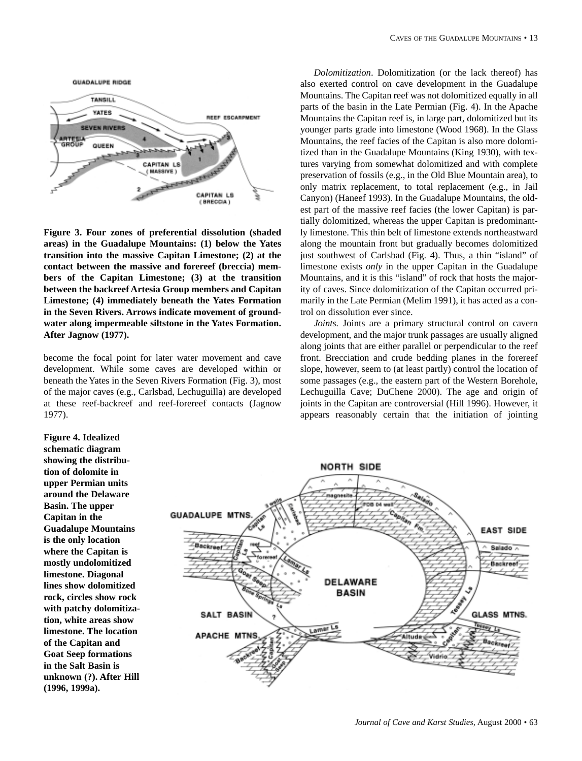

**Figure 3. Four zones of preferential dissolution (shaded areas) in the Guadalupe Mountains: (1) below the Yates transition into the massive Capitan Limestone; (2) at the contact between the massive and forereef (breccia) members of the Capitan Limestone; (3) at the transition between the backreef Artesia Group members and Capitan Limestone; (4) immediately beneath the Yates Formation in the Seven Rivers. Arrows indicate movement of groundwater along impermeable siltstone in the Yates Formation. After Jagnow (1977).**

become the focal point for later water movement and cave development. While some caves are developed within or beneath the Yates in the Seven Rivers Formation (Fig. 3), most of the major caves (e.g., Carlsbad, Lechuguilla) are developed at these reef-backreef and reef-forereef contacts (Jagnow 1977).

*Dolomitization*. Dolomitization (or the lack thereof) has also exerted control on cave development in the Guadalupe Mountains. The Capitan reef was not dolomitized equally in all parts of the basin in the Late Permian (Fig. 4). In the Apache Mountains the Capitan reef is, in large part, dolomitized but its younger parts grade into limestone (Wood 1968). In the Glass Mountains, the reef facies of the Capitan is also more dolomitized than in the Guadalupe Mountains (King 1930), with textures varying from somewhat dolomitized and with complete preservation of fossils (e.g., in the Old Blue Mountain area), to only matrix replacement, to total replacement (e.g., in Jail Canyon) (Haneef 1993). In the Guadalupe Mountains, the oldest part of the massive reef facies (the lower Capitan) is partially dolomitized, whereas the upper Capitan is predominantly limestone. This thin belt of limestone extends northeastward along the mountain front but gradually becomes dolomitized just southwest of Carlsbad (Fig. 4). Thus, a thin "island" of limestone exists *only* in the upper Capitan in the Guadalupe Mountains, and it is this "island" of rock that hosts the majority of caves. Since dolomitization of the Capitan occurred primarily in the Late Permian (Melim 1991), it has acted as a control on dissolution ever since.

*Joints.* Joints are a primary structural control on cavern development, and the major trunk passages are usually aligned along joints that are either parallel or perpendicular to the reef front. Brecciation and crude bedding planes in the forereef slope, however, seem to (at least partly) control the location of some passages (e.g., the eastern part of the Western Borehole, Lechuguilla Cave; DuChene 2000). The age and origin of joints in the Capitan are controversial (Hill 1996). However, it appears reasonably certain that the initiation of jointing

**Figure 4. Idealized schematic diagram showing the distribution of dolomite in upper Permian units around the Delaware Basin. The upper Capitan in the Guadalupe Mountains is the only location where the Capitan is mostly undolomitized limestone. Diagonal lines show dolomitized rock, circles show rock with patchy dolomitization, white areas show limestone. The location of the Capitan and Goat Seep formations in the Salt Basin is unknown (?). After Hill (1996, 1999a).**

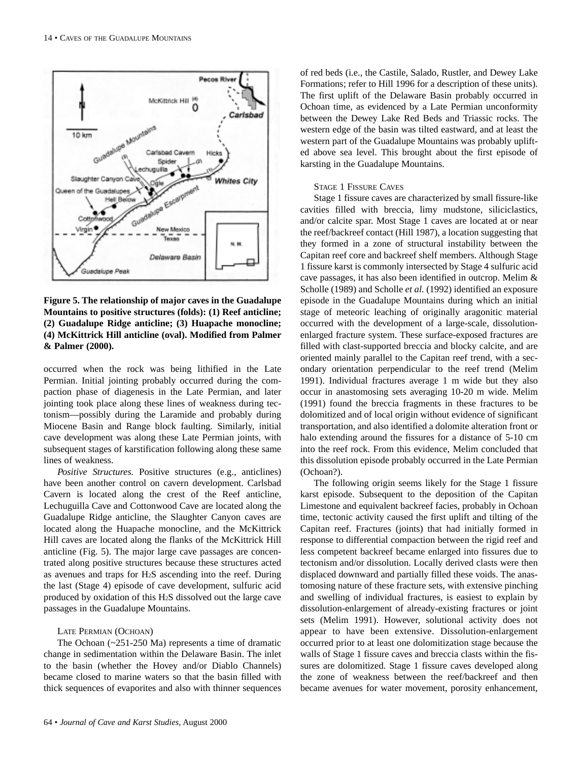

**Figure 5. The relationship of major caves in the Guadalupe Mountains to positive structures (folds): (1) Reef anticline; (2) Guadalupe Ridge anticline; (3) Huapache monocline; (4) McKittrick Hill anticline (oval). Modified from Palmer & Palmer (2000).**

occurred when the rock was being lithified in the Late Permian. Initial jointing probably occurred during the compaction phase of diagenesis in the Late Permian, and later jointing took place along these lines of weakness during tectonism—possibly during the Laramide and probably during Miocene Basin and Range block faulting. Similarly, initial cave development was along these Late Permian joints, with subsequent stages of karstification following along these same lines of weakness.

*Positive Structures.* Positive structures (e.g., anticlines) have been another control on cavern development. Carlsbad Cavern is located along the crest of the Reef anticline, Lechuguilla Cave and Cottonwood Cave are located along the Guadalupe Ridge anticline, the Slaughter Canyon caves are located along the Huapache monocline, and the McKittrick Hill caves are located along the flanks of the McKittrick Hill anticline (Fig. 5). The major large cave passages are concentrated along positive structures because these structures acted as avenues and traps for H2S ascending into the reef. During the last (Stage 4) episode of cave development, sulfuric acid produced by oxidation of this H2S dissolved out the large cave passages in the Guadalupe Mountains.

#### LATE PERMIAN (OCHOAN)

The Ochoan (~251-250 Ma) represents a time of dramatic change in sedimentation within the Delaware Basin. The inlet to the basin (whether the Hovey and/or Diablo Channels) became closed to marine waters so that the basin filled with thick sequences of evaporites and also with thinner sequences of red beds (i.e., the Castile, Salado, Rustler, and Dewey Lake Formations; refer to Hill 1996 for a description of these units). The first uplift of the Delaware Basin probably occurred in Ochoan time, as evidenced by a Late Permian unconformity between the Dewey Lake Red Beds and Triassic rocks. The western edge of the basin was tilted eastward, and at least the western part of the Guadalupe Mountains was probably uplifted above sea level. This brought about the first episode of karsting in the Guadalupe Mountains.

## STAGE 1 FISSURE CAVES

Stage 1 fissure caves are characterized by small fissure-like cavities filled with breccia, limy mudstone, siliciclastics, and/or calcite spar. Most Stage 1 caves are located at or near the reef/backreef contact (Hill 1987), a location suggesting that they formed in a zone of structural instability between the Capitan reef core and backreef shelf members. Although Stage 1 fissure karst is commonly intersected by Stage 4 sulfuric acid cave passages, it has also been identified in outcrop. Melim & Scholle (1989) and Scholle *et al.* (1992) identified an exposure episode in the Guadalupe Mountains during which an initial stage of meteoric leaching of originally aragonitic material occurred with the development of a large-scale, dissolutionenlarged fracture system. These surface-exposed fractures are filled with clast-supported breccia and blocky calcite, and are oriented mainly parallel to the Capitan reef trend, with a secondary orientation perpendicular to the reef trend (Melim 1991). Individual fractures average 1 m wide but they also occur in anastomosing sets averaging 10-20 m wide. Melim (1991) found the breccia fragments in these fractures to be dolomitized and of local origin without evidence of significant transportation, and also identified a dolomite alteration front or halo extending around the fissures for a distance of 5-10 cm into the reef rock. From this evidence, Melim concluded that this dissolution episode probably occurred in the Late Permian (Ochoan?).

The following origin seems likely for the Stage 1 fissure karst episode. Subsequent to the deposition of the Capitan Limestone and equivalent backreef facies, probably in Ochoan time, tectonic activity caused the first uplift and tilting of the Capitan reef. Fractures (joints) that had initially formed in response to differential compaction between the rigid reef and less competent backreef became enlarged into fissures due to tectonism and/or dissolution. Locally derived clasts were then displaced downward and partially filled these voids. The anastomosing nature of these fracture sets, with extensive pinching and swelling of individual fractures, is easiest to explain by dissolution-enlargement of already-existing fractures or joint sets (Melim 1991). However, solutional activity does not appear to have been extensive. Dissolution-enlargement occurred prior to at least one dolomitization stage because the walls of Stage 1 fissure caves and breccia clasts within the fissures are dolomitized. Stage 1 fissure caves developed along the zone of weakness between the reef/backreef and then became avenues for water movement, porosity enhancement,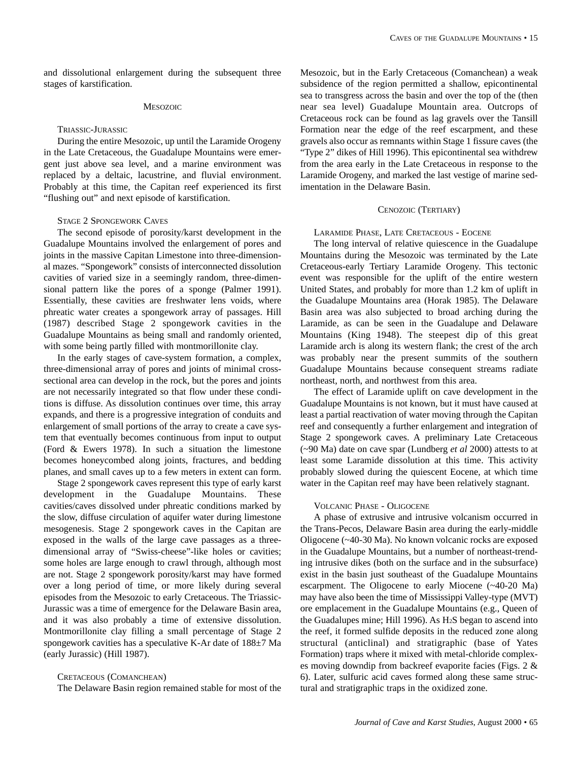#### **MESOZOIC**

#### TRIASSIC-JURASSIC

During the entire Mesozoic, up until the Laramide Orogeny in the Late Cretaceous, the Guadalupe Mountains were emergent just above sea level, and a marine environment was replaced by a deltaic, lacustrine, and fluvial environment. Probably at this time, the Capitan reef experienced its first "flushing out" and next episode of karstification.

#### STAGE 2 SPONGEWORK CAVES

The second episode of porosity/karst development in the Guadalupe Mountains involved the enlargement of pores and joints in the massive Capitan Limestone into three-dimensional mazes. "Spongework" consists of interconnected dissolution cavities of varied size in a seemingly random, three-dimensional pattern like the pores of a sponge (Palmer 1991). Essentially, these cavities are freshwater lens voids, where phreatic water creates a spongework array of passages. Hill (1987) described Stage 2 spongework cavities in the Guadalupe Mountains as being small and randomly oriented, with some being partly filled with montmorillonite clay.

In the early stages of cave-system formation, a complex, three-dimensional array of pores and joints of minimal crosssectional area can develop in the rock, but the pores and joints are not necessarily integrated so that flow under these conditions is diffuse. As dissolution continues over time, this array expands, and there is a progressive integration of conduits and enlargement of small portions of the array to create a cave system that eventually becomes continuous from input to output (Ford & Ewers 1978). In such a situation the limestone becomes honeycombed along joints, fractures, and bedding planes, and small caves up to a few meters in extent can form.

Stage 2 spongework caves represent this type of early karst development in the Guadalupe Mountains. These cavities/caves dissolved under phreatic conditions marked by the slow, diffuse circulation of aquifer water during limestone mesogenesis. Stage 2 spongework caves in the Capitan are exposed in the walls of the large cave passages as a threedimensional array of "Swiss-cheese"-like holes or cavities; some holes are large enough to crawl through, although most are not. Stage 2 spongework porosity/karst may have formed over a long period of time, or more likely during several episodes from the Mesozoic to early Cretaceous. The Triassic-Jurassic was a time of emergence for the Delaware Basin area, and it was also probably a time of extensive dissolution. Montmorillonite clay filling a small percentage of Stage 2 spongework cavities has a speculative K-Ar date of 188±7 Ma (early Jurassic) (Hill 1987).

## CRETACEOUS (COMANCHEAN)

The Delaware Basin region remained stable for most of the

Mesozoic, but in the Early Cretaceous (Comanchean) a weak subsidence of the region permitted a shallow, epicontinental sea to transgress across the basin and over the top of the (then near sea level) Guadalupe Mountain area. Outcrops of Cretaceous rock can be found as lag gravels over the Tansill Formation near the edge of the reef escarpment, and these gravels also occur as remnants within Stage 1 fissure caves (the "Type 2" dikes of Hill 1996). This epicontinental sea withdrew from the area early in the Late Cretaceous in response to the Laramide Orogeny, and marked the last vestige of marine sedimentation in the Delaware Basin.

## CENOZOIC (TERTIARY)

LARAMIDE PHASE, LATE CRETACEOUS - EOCENE

The long interval of relative quiescence in the Guadalupe Mountains during the Mesozoic was terminated by the Late Cretaceous-early Tertiary Laramide Orogeny. This tectonic event was responsible for the uplift of the entire western United States, and probably for more than 1.2 km of uplift in the Guadalupe Mountains area (Horak 1985). The Delaware Basin area was also subjected to broad arching during the Laramide, as can be seen in the Guadalupe and Delaware Mountains (King 1948). The steepest dip of this great Laramide arch is along its western flank; the crest of the arch was probably near the present summits of the southern Guadalupe Mountains because consequent streams radiate northeast, north, and northwest from this area.

The effect of Laramide uplift on cave development in the Guadalupe Mountains is not known, but it must have caused at least a partial reactivation of water moving through the Capitan reef and consequently a further enlargement and integration of Stage 2 spongework caves. A preliminary Late Cretaceous (~90 Ma) date on cave spar (Lundberg *et al* 2000) attests to at least some Laramide dissolution at this time. This activity probably slowed during the quiescent Eocene, at which time water in the Capitan reef may have been relatively stagnant.

## VOLCANIC PHASE - OLIGOCENE

A phase of extrusive and intrusive volcanism occurred in the Trans-Pecos, Delaware Basin area during the early-middle Oligocene (~40-30 Ma). No known volcanic rocks are exposed in the Guadalupe Mountains, but a number of northeast-trending intrusive dikes (both on the surface and in the subsurface) exist in the basin just southeast of the Guadalupe Mountains escarpment. The Oligocene to early Miocene (~40-20 Ma) may have also been the time of Mississippi Valley-type (MVT) ore emplacement in the Guadalupe Mountains (e.g., Queen of the Guadalupes mine; Hill 1996). As H2S began to ascend into the reef, it formed sulfide deposits in the reduced zone along structural (anticlinal) and stratigraphic (base of Yates Formation) traps where it mixed with metal-chloride complexes moving downdip from backreef evaporite facies (Figs. 2 & 6). Later, sulfuric acid caves formed along these same structural and stratigraphic traps in the oxidized zone.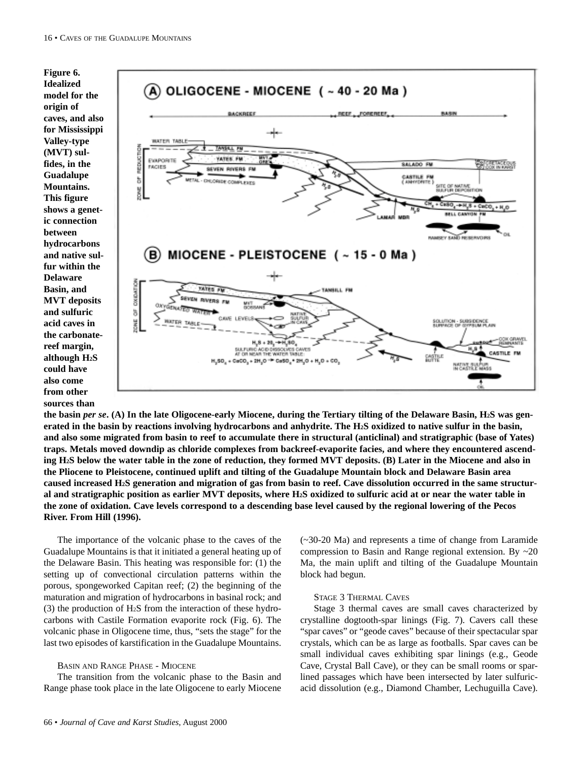

**the basin** *per se***. (A) In the late Oligocene-early Miocene, during the Tertiary tilting of the Delaware Basin, H2S was generated in the basin by reactions involving hydrocarbons and anhydrite. The H2S oxidized to native sulfur in the basin, and also some migrated from basin to reef to accumulate there in structural (anticlinal) and stratigraphic (base of Yates) traps. Metals moved downdip as chloride complexes from backreef-evaporite facies, and where they encountered ascending H2S below the water table in the zone of reduction, they formed MVT deposits. (B) Later in the Miocene and also in the Pliocene to Pleistocene, continued uplift and tilting of the Guadalupe Mountain block and Delaware Basin area caused increased H2S generation and migration of gas from basin to reef. Cave dissolution occurred in the same structural and stratigraphic position as earlier MVT deposits, where H2S oxidized to sulfuric acid at or near the water table in the zone of oxidation. Cave levels correspond to a descending base level caused by the regional lowering of the Pecos River. From Hill (1996).**

The importance of the volcanic phase to the caves of the Guadalupe Mountains is that it initiated a general heating up of the Delaware Basin. This heating was responsible for: (1) the setting up of convectional circulation patterns within the porous, spongeworked Capitan reef; (2) the beginning of the maturation and migration of hydrocarbons in basinal rock; and (3) the production of H2S from the interaction of these hydrocarbons with Castile Formation evaporite rock (Fig. 6). The volcanic phase in Oligocene time, thus, "sets the stage" for the last two episodes of karstification in the Guadalupe Mountains.

## BASIN AND RANGE PHASE - MIOCENE

The transition from the volcanic phase to the Basin and Range phase took place in the late Oligocene to early Miocene

(~30-20 Ma) and represents a time of change from Laramide compression to Basin and Range regional extension. By ~20 Ma, the main uplift and tilting of the Guadalupe Mountain block had begun.

## STAGE 3 THERMAL CAVES

Stage 3 thermal caves are small caves characterized by crystalline dogtooth-spar linings (Fig. 7). Cavers call these "spar caves" or "geode caves" because of their spectacular spar crystals, which can be as large as footballs. Spar caves can be small individual caves exhibiting spar linings (e.g., Geode Cave, Crystal Ball Cave), or they can be small rooms or sparlined passages which have been intersected by later sulfuricacid dissolution (e.g., Diamond Chamber, Lechuguilla Cave).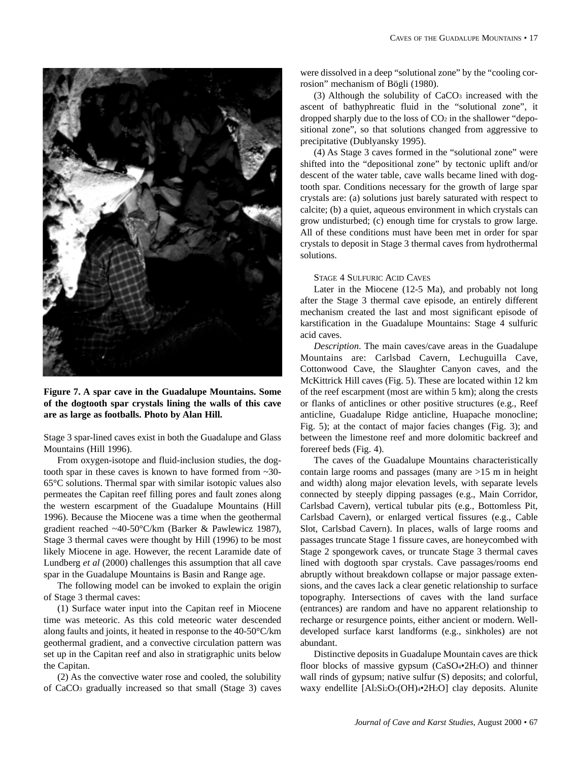

**Figure 7. A spar cave in the Guadalupe Mountains. Some of the dogtooth spar crystals lining the walls of this cave are as large as footballs. Photo by Alan Hill.**

Stage 3 spar-lined caves exist in both the Guadalupe and Glass Mountains (Hill 1996).

From oxygen-isotope and fluid-inclusion studies, the dogtooth spar in these caves is known to have formed from ~30- 65°C solutions. Thermal spar with similar isotopic values also permeates the Capitan reef filling pores and fault zones along the western escarpment of the Guadalupe Mountains (Hill 1996). Because the Miocene was a time when the geothermal gradient reached ~40-50°C/km (Barker & Pawlewicz 1987), Stage 3 thermal caves were thought by Hill (1996) to be most likely Miocene in age. However, the recent Laramide date of Lundberg *et al* (2000) challenges this assumption that all cave spar in the Guadalupe Mountains is Basin and Range age.

The following model can be invoked to explain the origin of Stage 3 thermal caves:

(1) Surface water input into the Capitan reef in Miocene time was meteoric. As this cold meteoric water descended along faults and joints, it heated in response to the 40-50°C/km geothermal gradient, and a convective circulation pattern was set up in the Capitan reef and also in stratigraphic units below the Capitan.

(2) As the convective water rose and cooled, the solubility of CaCO3 gradually increased so that small (Stage 3) caves were dissolved in a deep "solutional zone" by the "cooling corrosion" mechanism of Bögli (1980).

(3) Although the solubility of CaCO3 increased with the ascent of bathyphreatic fluid in the "solutional zone", it dropped sharply due to the loss of  $CO<sub>2</sub>$  in the shallower "depositional zone", so that solutions changed from aggressive to precipitative (Dublyansky 1995).

(4) As Stage 3 caves formed in the "solutional zone" were shifted into the "depositional zone" by tectonic uplift and/or descent of the water table, cave walls became lined with dogtooth spar. Conditions necessary for the growth of large spar crystals are: (a) solutions just barely saturated with respect to calcite; (b) a quiet, aqueous environment in which crystals can grow undisturbed; (c) enough time for crystals to grow large. All of these conditions must have been met in order for spar crystals to deposit in Stage 3 thermal caves from hydrothermal solutions.

## STAGE 4 SULFURIC ACID CAVES

Later in the Miocene (12-5 Ma), and probably not long after the Stage 3 thermal cave episode, an entirely different mechanism created the last and most significant episode of karstification in the Guadalupe Mountains: Stage 4 sulfuric acid caves.

*Description*. The main caves/cave areas in the Guadalupe Mountains are: Carlsbad Cavern, Lechuguilla Cave, Cottonwood Cave, the Slaughter Canyon caves, and the McKittrick Hill caves (Fig. 5). These are located within 12 km of the reef escarpment (most are within 5 km); along the crests or flanks of anticlines or other positive structures (e.g., Reef anticline, Guadalupe Ridge anticline, Huapache monocline; Fig. 5); at the contact of major facies changes (Fig. 3); and between the limestone reef and more dolomitic backreef and forereef beds (Fig. 4).

The caves of the Guadalupe Mountains characteristically contain large rooms and passages (many are  $>15$  m in height and width) along major elevation levels, with separate levels connected by steeply dipping passages (e.g., Main Corridor, Carlsbad Cavern), vertical tubular pits (e.g., Bottomless Pit, Carlsbad Cavern), or enlarged vertical fissures (e.g., Cable Slot, Carlsbad Cavern). In places, walls of large rooms and passages truncate Stage 1 fissure caves, are honeycombed with Stage 2 spongework caves, or truncate Stage 3 thermal caves lined with dogtooth spar crystals. Cave passages/rooms end abruptly without breakdown collapse or major passage extensions, and the caves lack a clear genetic relationship to surface topography. Intersections of caves with the land surface (entrances) are random and have no apparent relationship to recharge or resurgence points, either ancient or modern. Welldeveloped surface karst landforms (e.g., sinkholes) are not abundant.

Distinctive deposits in Guadalupe Mountain caves are thick floor blocks of massive gypsum (CaSO<sub>4</sub>•2H<sub>2</sub>O) and thinner wall rinds of gypsum; native sulfur (S) deposits; and colorful, waxy endellite [Al2Si2O5(OH)4•2H2O] clay deposits. Alunite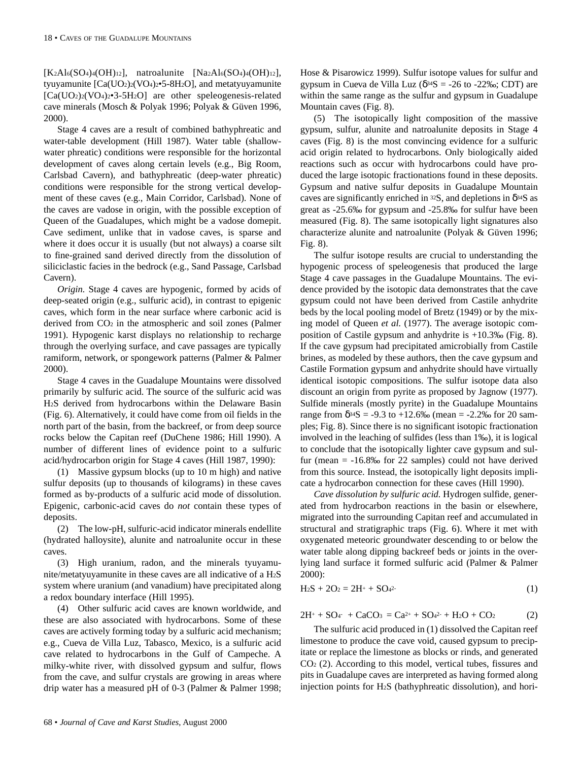$[K_2A]_6(SO_4)_4(OH)_{12}$ , natroalunite  $[Na_2A]_6(SO_4)_4(OH)_{12}$ , tyuyamunite  $\text{[Ca(UO<sub>2</sub>)<sub>2</sub>(VO<sub>4</sub>)<sub>2</sub> = 5-8H<sub>2</sub>O]}$ , and metatyuyamunite [Ca(UO2)2(VO4)2•3-5H2O] are other speleogenesis-related cave minerals (Mosch & Polyak 1996; Polyak & Güven 1996, 2000).

Stage 4 caves are a result of combined bathyphreatic and water-table development (Hill 1987). Water table (shallowwater phreatic) conditions were responsible for the horizontal development of caves along certain levels (e.g., Big Room, Carlsbad Cavern), and bathyphreatic (deep-water phreatic) conditions were responsible for the strong vertical development of these caves (e.g., Main Corridor, Carlsbad). None of the caves are vadose in origin, with the possible exception of Queen of the Guadalupes, which might be a vadose domepit. Cave sediment, unlike that in vadose caves, is sparse and where it does occur it is usually (but not always) a coarse silt to fine-grained sand derived directly from the dissolution of siliciclastic facies in the bedrock (e.g., Sand Passage, Carlsbad Cavern).

*Origin.* Stage 4 caves are hypogenic, formed by acids of deep-seated origin (e.g., sulfuric acid), in contrast to epigenic caves, which form in the near surface where carbonic acid is derived from CO2 in the atmospheric and soil zones (Palmer 1991). Hypogenic karst displays no relationship to recharge through the overlying surface, and cave passages are typically ramiform, network, or spongework patterns (Palmer & Palmer 2000).

Stage 4 caves in the Guadalupe Mountains were dissolved primarily by sulfuric acid. The source of the sulfuric acid was H2S derived from hydrocarbons within the Delaware Basin (Fig. 6). Alternatively, it could have come from oil fields in the north part of the basin, from the backreef, or from deep source rocks below the Capitan reef (DuChene 1986; Hill 1990). A number of different lines of evidence point to a sulfuric acid/hydrocarbon origin for Stage 4 caves (Hill 1987, 1990):

(1) Massive gypsum blocks (up to 10 m high) and native sulfur deposits (up to thousands of kilograms) in these caves formed as by-products of a sulfuric acid mode of dissolution. Epigenic, carbonic-acid caves do *not* contain these types of deposits.

(2) The low-pH, sulfuric-acid indicator minerals endellite (hydrated halloysite), alunite and natroalunite occur in these caves.

(3) High uranium, radon, and the minerals tyuyamunite/metatyuyamunite in these caves are all indicative of a H2S system where uranium (and vanadium) have precipitated along a redox boundary interface (Hill 1995).

(4) Other sulfuric acid caves are known worldwide, and these are also associated with hydrocarbons. Some of these caves are actively forming today by a sulfuric acid mechanism; e.g., Cueva de Villa Luz, Tabasco, Mexico, is a sulfuric acid cave related to hydrocarbons in the Gulf of Campeche. A milky-white river, with dissolved gypsum and sulfur, flows from the cave, and sulfur crystals are growing in areas where drip water has a measured pH of 0-3 (Palmer & Palmer 1998; Hose & Pisarowicz 1999). Sulfur isotope values for sulfur and gypsum in Cueva de Villa Luz ( $\delta^{34}S = -26$  to -22‰; CDT) are within the same range as the sulfur and gypsum in Guadalupe Mountain caves (Fig. 8).

(5) The isotopically light composition of the massive gypsum, sulfur, alunite and natroalunite deposits in Stage 4 caves (Fig. 8) is the most convincing evidence for a sulfuric acid origin related to hydrocarbons. Only biologically aided reactions such as occur with hydrocarbons could have produced the large isotopic fractionations found in these deposits. Gypsum and native sulfur deposits in Guadalupe Mountain caves are significantly enriched in  $32S$ , and depletions in  $\delta^{34}S$  as great as -25.6‰ for gypsum and -25.8‰ for sulfur have been measured (Fig. 8). The same isotopically light signatures also characterize alunite and natroalunite (Polyak & Güven 1996; Fig. 8).

The sulfur isotope results are crucial to understanding the hypogenic process of speleogenesis that produced the large Stage 4 cave passages in the Guadalupe Mountains. The evidence provided by the isotopic data demonstrates that the cave gypsum could not have been derived from Castile anhydrite beds by the local pooling model of Bretz (1949) or by the mixing model of Queen *et al.* (1977). The average isotopic composition of Castile gypsum and anhydrite is +10.3‰ (Fig. 8). If the cave gypsum had precipitated amicrobially from Castile brines, as modeled by these authors, then the cave gypsum and Castile Formation gypsum and anhydrite should have virtually identical isotopic compositions. The sulfur isotope data also discount an origin from pyrite as proposed by Jagnow (1977). Sulfide minerals (mostly pyrite) in the Guadalupe Mountains range from δ<sup>34</sup>S = -9.3 to +12.6‰ (mean = -2.2‰ for 20 samples; Fig. 8). Since there is no significant isotopic fractionation involved in the leaching of sulfides (less than 1‰), it is logical to conclude that the isotopically lighter cave gypsum and sulfur (mean  $= -16.8\%$  for 22 samples) could not have derived from this source. Instead, the isotopically light deposits implicate a hydrocarbon connection for these caves (Hill 1990).

*Cave dissolution by sulfuric acid.* Hydrogen sulfide, generated from hydrocarbon reactions in the basin or elsewhere, migrated into the surrounding Capitan reef and accumulated in structural and stratigraphic traps (Fig. 6). Where it met with oxygenated meteoric groundwater descending to or below the water table along dipping backreef beds or joints in the overlying land surface it formed sulfuric acid (Palmer & Palmer 2000):

$$
H_2S + 2O_2 = 2H^+ + SO_4{}^{2-}
$$
 (1)

$$
2H^{+} + SO_{4}^{-} + CaCO_{3} = Ca^{2+} + SO_{4}^{2-} + H_{2}O + CO_{2}
$$
 (2)

The sulfuric acid produced in (1) dissolved the Capitan reef limestone to produce the cave void, caused gypsum to precipitate or replace the limestone as blocks or rinds, and generated CO2 (2). According to this model, vertical tubes, fissures and pits in Guadalupe caves are interpreted as having formed along injection points for H2S (bathyphreatic dissolution), and hori-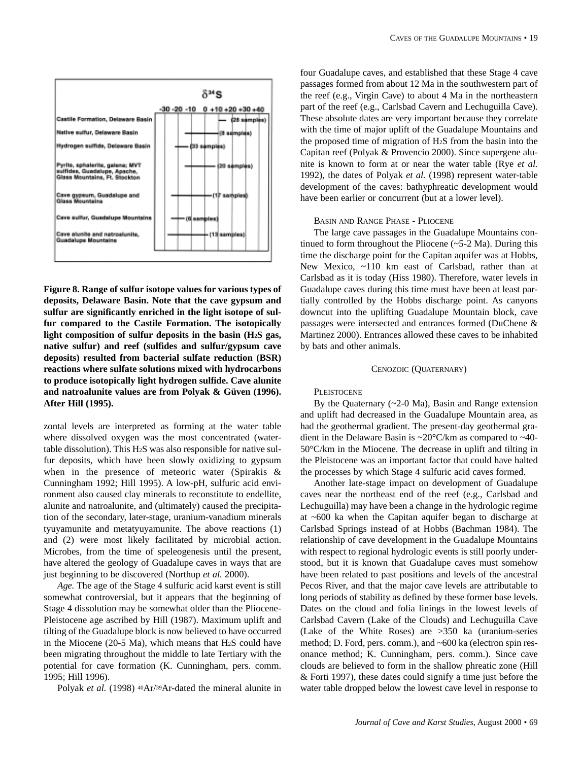

**Figure 8. Range of sulfur isotope values for various types of deposits, Delaware Basin. Note that the cave gypsum and sulfur are significantly enriched in the light isotope of sulfur compared to the Castile Formation. The isotopically light composition of sulfur deposits in the basin (H2S gas, native sulfur) and reef (sulfides and sulfur/gypsum cave deposits) resulted from bacterial sulfate reduction (BSR) reactions where sulfate solutions mixed with hydrocarbons to produce isotopically light hydrogen sulfide. Cave alunite and natroalunite values are from Polyak & Güven (1996). After Hill (1995).**

zontal levels are interpreted as forming at the water table where dissolved oxygen was the most concentrated (watertable dissolution). This H2S was also responsible for native sulfur deposits, which have been slowly oxidizing to gypsum when in the presence of meteoric water (Spirakis & Cunningham 1992; Hill 1995). A low-pH, sulfuric acid environment also caused clay minerals to reconstitute to endellite, alunite and natroalunite, and (ultimately) caused the precipitation of the secondary, later-stage, uranium-vanadium minerals tyuyamunite and metatyuyamunite. The above reactions (1) and (2) were most likely facilitated by microbial action. Microbes, from the time of speleogenesis until the present, have altered the geology of Guadalupe caves in ways that are just beginning to be discovered (Northup *et al.* 2000).

*Age.* The age of the Stage 4 sulfuric acid karst event is still somewhat controversial, but it appears that the beginning of Stage 4 dissolution may be somewhat older than the Pliocene-Pleistocene age ascribed by Hill (1987). Maximum uplift and tilting of the Guadalupe block is now believed to have occurred in the Miocene (20-5 Ma), which means that H2S could have been migrating throughout the middle to late Tertiary with the potential for cave formation (K. Cunningham, pers. comm. 1995; Hill 1996).

Polyak *et al.* (1998) <sup>40</sup>Ar/<sup>39</sup>Ar-dated the mineral alunite in

four Guadalupe caves, and established that these Stage 4 cave passages formed from about 12 Ma in the southwestern part of the reef (e.g., Virgin Cave) to about 4 Ma in the northeastern part of the reef (e.g., Carlsbad Cavern and Lechuguilla Cave). These absolute dates are very important because they correlate with the time of major uplift of the Guadalupe Mountains and the proposed time of migration of H2S from the basin into the Capitan reef (Polyak & Provencio 2000). Since supergene alunite is known to form at or near the water table (Rye *et al.* 1992), the dates of Polyak *et al.* (1998) represent water-table development of the caves: bathyphreatic development would have been earlier or concurrent (but at a lower level).

## BASIN AND RANGE PHASE - PLIOCENE

The large cave passages in the Guadalupe Mountains continued to form throughout the Pliocene  $(-5-2 \text{ Ma})$ . During this time the discharge point for the Capitan aquifer was at Hobbs, New Mexico, ~110 km east of Carlsbad, rather than at Carlsbad as it is today (Hiss 1980). Therefore, water levels in Guadalupe caves during this time must have been at least partially controlled by the Hobbs discharge point. As canyons downcut into the uplifting Guadalupe Mountain block, cave passages were intersected and entrances formed (DuChene & Martinez 2000). Entrances allowed these caves to be inhabited by bats and other animals.

## CENOZOIC (QUATERNARY)

## **PLEISTOCENE**

By the Quaternary  $(\sim 2-0$  Ma), Basin and Range extension and uplift had decreased in the Guadalupe Mountain area, as had the geothermal gradient. The present-day geothermal gradient in the Delaware Basin is ~20°C/km as compared to ~40- 50°C/km in the Miocene. The decrease in uplift and tilting in the Pleistocene was an important factor that could have halted the processes by which Stage 4 sulfuric acid caves formed.

Another late-stage impact on development of Guadalupe caves near the northeast end of the reef (e.g., Carlsbad and Lechuguilla) may have been a change in the hydrologic regime at ~600 ka when the Capitan aquifer began to discharge at Carlsbad Springs instead of at Hobbs (Bachman 1984). The relationship of cave development in the Guadalupe Mountains with respect to regional hydrologic events is still poorly understood, but it is known that Guadalupe caves must somehow have been related to past positions and levels of the ancestral Pecos River, and that the major cave levels are attributable to long periods of stability as defined by these former base levels. Dates on the cloud and folia linings in the lowest levels of Carlsbad Cavern (Lake of the Clouds) and Lechuguilla Cave (Lake of the White Roses) are >350 ka (uranium-series method; D. Ford, pers. comm.), and ~600 ka (electron spin resonance method; K. Cunningham, pers. comm.). Since cave clouds are believed to form in the shallow phreatic zone (Hill & Forti 1997), these dates could signify a time just before the water table dropped below the lowest cave level in response to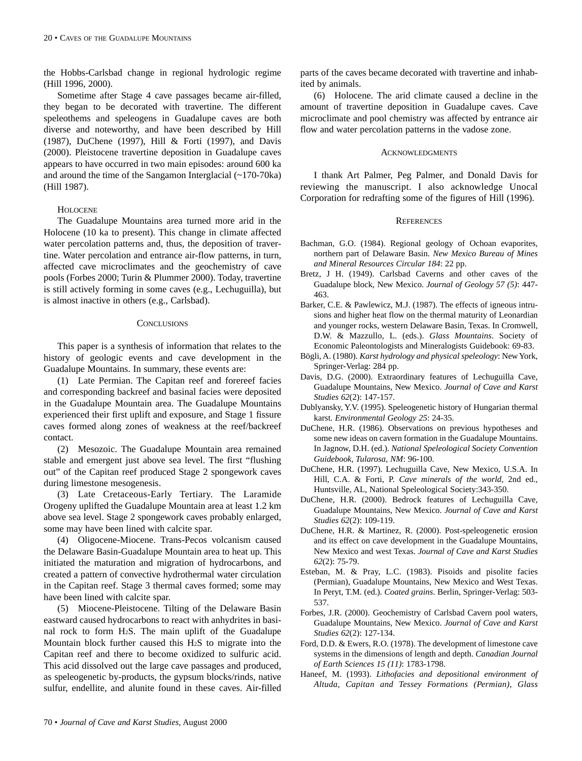the Hobbs-Carlsbad change in regional hydrologic regime (Hill 1996, 2000).

Sometime after Stage 4 cave passages became air-filled, they began to be decorated with travertine. The different speleothems and speleogens in Guadalupe caves are both diverse and noteworthy, and have been described by Hill (1987), DuChene (1997), Hill & Forti (1997), and Davis (2000). Pleistocene travertine deposition in Guadalupe caves appears to have occurred in two main episodes: around 600 ka and around the time of the Sangamon Interglacial (~170-70ka) (Hill 1987).

## **HOLOCENE**

The Guadalupe Mountains area turned more arid in the Holocene (10 ka to present). This change in climate affected water percolation patterns and, thus, the deposition of travertine. Water percolation and entrance air-flow patterns, in turn, affected cave microclimates and the geochemistry of cave pools (Forbes 2000; Turin & Plummer 2000). Today, travertine is still actively forming in some caves (e.g., Lechuguilla), but is almost inactive in others (e.g., Carlsbad).

## **CONCLUSIONS**

This paper is a synthesis of information that relates to the history of geologic events and cave development in the Guadalupe Mountains. In summary, these events are:

(1) Late Permian. The Capitan reef and forereef facies and corresponding backreef and basinal facies were deposited in the Guadalupe Mountain area. The Guadalupe Mountains experienced their first uplift and exposure, and Stage 1 fissure caves formed along zones of weakness at the reef/backreef contact.

(2) Mesozoic. The Guadalupe Mountain area remained stable and emergent just above sea level. The first "flushing out" of the Capitan reef produced Stage 2 spongework caves during limestone mesogenesis.

(3) Late Cretaceous-Early Tertiary. The Laramide Orogeny uplifted the Guadalupe Mountain area at least 1.2 km above sea level. Stage 2 spongework caves probably enlarged, some may have been lined with calcite spar.

(4) Oligocene-Miocene. Trans-Pecos volcanism caused the Delaware Basin-Guadalupe Mountain area to heat up. This initiated the maturation and migration of hydrocarbons, and created a pattern of convective hydrothermal water circulation in the Capitan reef. Stage 3 thermal caves formed; some may have been lined with calcite spar.

(5) Miocene-Pleistocene. Tilting of the Delaware Basin eastward caused hydrocarbons to react with anhydrites in basinal rock to form H2S. The main uplift of the Guadalupe Mountain block further caused this H2S to migrate into the Capitan reef and there to become oxidized to sulfuric acid. This acid dissolved out the large cave passages and produced, as speleogenetic by-products, the gypsum blocks/rinds, native sulfur, endellite, and alunite found in these caves. Air-filled parts of the caves became decorated with travertine and inhabited by animals.

(6) Holocene. The arid climate caused a decline in the amount of travertine deposition in Guadalupe caves. Cave microclimate and pool chemistry was affected by entrance air flow and water percolation patterns in the vadose zone.

#### ACKNOWLEDGMENTS

I thank Art Palmer, Peg Palmer, and Donald Davis for reviewing the manuscript. I also acknowledge Unocal Corporation for redrafting some of the figures of Hill (1996).

## **REFERENCES**

- Bachman, G.O. (1984). Regional geology of Ochoan evaporites, northern part of Delaware Basin. *New Mexico Bureau of Mines and Mineral Resources Circular 184*: 22 pp.
- Bretz, J H. (1949). Carlsbad Caverns and other caves of the Guadalupe block, New Mexico. *Journal of Geology 57 (5)*: 447- 463.
- Barker, C.E. & Pawlewicz, M.J. (1987). The effects of igneous intrusions and higher heat flow on the thermal maturity of Leonardian and younger rocks, western Delaware Basin, Texas. In Cromwell, D.W. & Mazzullo, L. (eds.). *Glass Mountains*. Society of Economic Paleontologists and Mineralogists Guidebook: 69-83.
- Bögli, A. (1980). *Karst hydrology and physical speleology*: New York, Springer-Verlag: 284 pp.
- Davis, D.G. (2000). Extraordinary features of Lechuguilla Cave, Guadalupe Mountains, New Mexico. *Journal of Cave and Karst Studies 62*(2): 147-157.
- Dublyansky, Y.V. (1995). Speleogenetic history of Hungarian thermal karst. *Environmental Geology 25*: 24-35.
- DuChene, H.R. (1986). Observations on previous hypotheses and some new ideas on cavern formation in the Guadalupe Mountains. In Jagnow, D.H. (ed.). *National Speleological Society Convention Guidebook, Tularosa, NM*: 96-100.
- DuChene, H.R. (1997). Lechuguilla Cave, New Mexico, U.S.A. In Hill, C.A. & Forti, P. *Cave minerals of the world*, 2nd ed., Huntsville, AL, National Speleological Society:343-350.
- DuChene, H.R. (2000). Bedrock features of Lechuguilla Cave, Guadalupe Mountains, New Mexico. *Journal of Cave and Karst Studies 62*(2): 109-119.
- DuChene, H.R. & Martinez, R. (2000). Post-speleogenetic erosion and its effect on cave development in the Guadalupe Mountains, New Mexico and west Texas. *Journal of Cave and Karst Studies 62*(2): 75-79.
- Esteban, M. & Pray, L.C. (1983). Pisoids and pisolite facies (Permian), Guadalupe Mountains, New Mexico and West Texas. In Peryt, T.M. (ed.)*. Coated grains*. Berlin, Springer-Verlag: 503- 537.
- Forbes, J.R. (2000). Geochemistry of Carlsbad Cavern pool waters, Guadalupe Mountains, New Mexico. *Journal of Cave and Karst Studies 62*(2): 127-134.
- Ford, D.D. & Ewers, R.O. (1978). The development of limestone cave systems in the dimensions of length and depth. *Canadian Journal of Earth Sciences 15 (11)*: 1783-1798.
- Haneef, M. (1993). *Lithofacies and depositional environment of Altuda, Capitan and Tessey Formations (Permian), Glass*